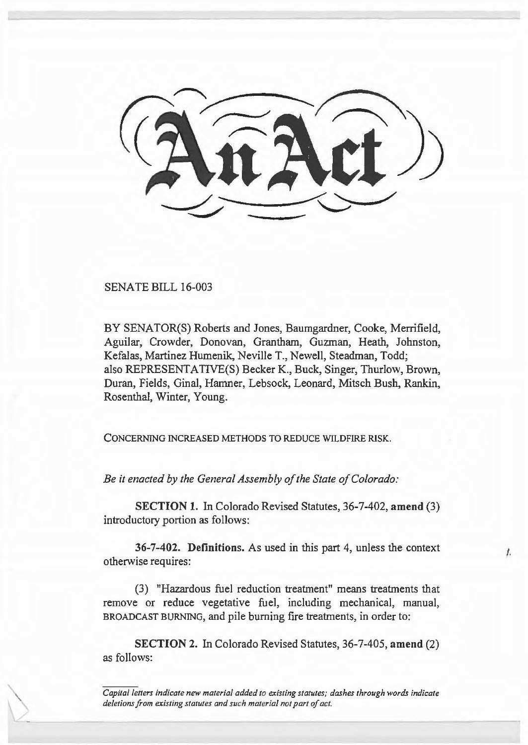SENATE BILL 16-003

BY SENATOR(S) Roberts and Jones, Baumgardner, Cooke, Merrifield, Aguilar, Crowder, Donovan, Grantham, Guzman, Heath, Johnston, Kefalas, Martinez Humenik, Neville T., Newell, Steadman, Todd; also REPRESENTATIVE(S) Becker K., Buck, Singer, Thurlow, Brown, Duran, Fields, Gina], Hamner, Lebsock, Leonard, Mitsch Bush, Rankin, Rosenthal, Winter, Young.

CONCERNING INCREASED METHODS TO REDUCE WILDFIRE RISK.

*Be it enacted by the General Assembly of the State of Colorado:* 

**SECTION 1.** In Colorado Revised Statutes, 36-7-402, **amend** (3) introductory portion as follows:

**36-7-402. Definitions.** As used in this part 4, unless the context otherwise requires:

f.

(3) "Hazardous fuel reduction treatment" means treatments that remove or reduce vegetative fuel, including mechanical, manual, BROADCAST BURNING, and pile burning fire treatments, in order to:

**SECTION 2.** In Colorado Revised Statutes, 36-7-405, **amend** (2) as follows:

*Capital letters indicate new material added to existing statutes; dashes through words indicate deletions from existing statutes and such material not part of act.*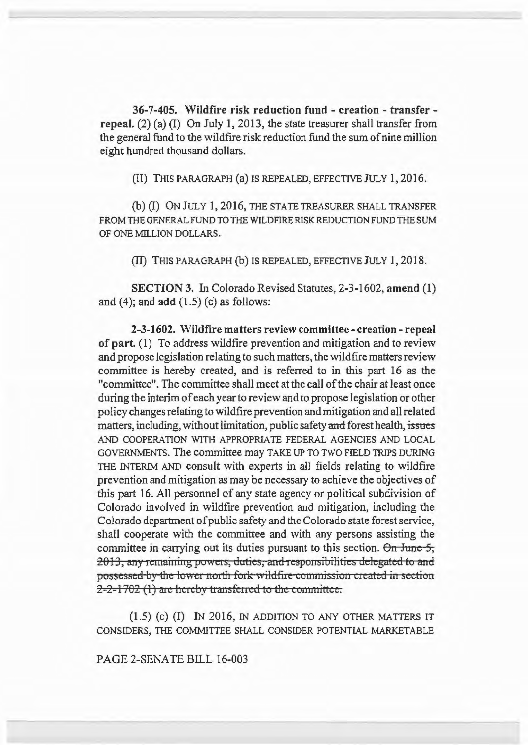36-7-405. Wildfire risk reduction fund - creation - transfer repeal. (2) (a) (I) On July 1, 2013, the state treasurer shall transfer from the general fund to the wildfire risk reduction fund the sum of nine million eight hundred thousand dollars.

(II) THIS PARAGRAPH (a) IS REPEALED, EFFECTIVE JULY 1, 2016.

(b) (I) ON JULY I, 20I6, THE STATE TREASURER SHALL TRANSFER FROM THE GENERAL FUND TO THE WILDFIRE RISK REDUCTION FUND THE SUM OF ONE MILLION DOLLARS.

(II) THIS PARAGRAPH (b) IS REPEALED, EFFECTIVE JULY 1, 2018.

SECTION 3. In Colorado Revised Statutes, 2-3-1602, amend (1) and  $(4)$ ; and add  $(1.5)$  (c) as follows:

2-3-1602. Wildfire matters review committee- creation- repeal of part. (I) To address wildfire prevention and mitigation and to review and propose legislation relating to such matters, the wildfire matters review committee is hereby created, and is referred to in this part 16 as the "committee". The committee shall meet at the call of the chair at least once during the interim of each year to review and to propose legislation or other policy changes relating to wildfire prevention and mitigation and all related matters, including, without limitation, public safety and forest health, issues AND COOPERATION WITH APPROPRIATE FEDERAL AGENCIES AND LOCAL GOVERNMENTS. The committee may TAKE UP TO TWO FIELD TRIPS DURING THE INTERIM AND consult with experts in all fields relating to wildfire prevention and mitigation as may be necessary to achieve the objectives of this part 16. All personnel of any state agency or political subdivision of Colorado involved in wildfire prevention and mitigation, including the Colorado department of public safety and the Colorado state forest service, shall cooperate with the committee and with any persons assisting the committee in carrying out its duties pursuant to this section.  $\Theta n$  June 5, 2013, any remaining powers, duties, and responsibilities delegated to and possessed by the lower north fork wildfire commission created in section 2-2-1702 (1) are hereby transferred to the committee.

 $(1.5)$   $(c)$   $(I)$  In 2016, in addition to any other matters it CONSIDERS, THE COMMITTEE SHALL CONSIDER POTENTIAL MARKETABLE

PAGE 2-SENATE BILL 16-003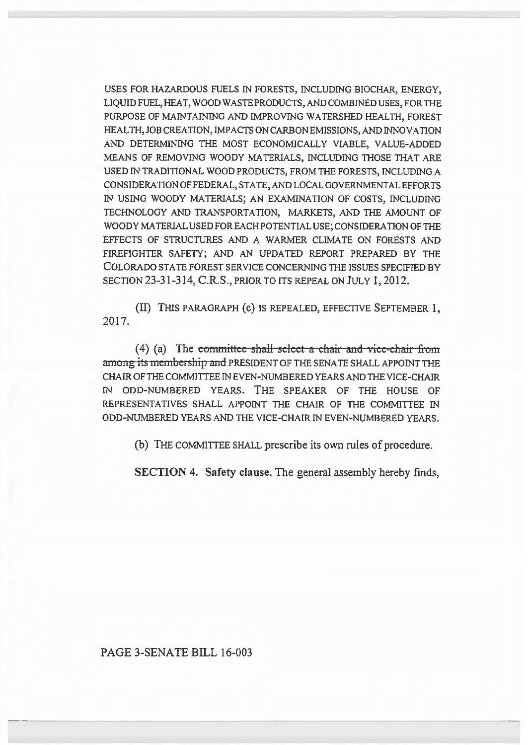USES FOR HAZARDOUS FUELS IN FORESTS, INCLUDING BIOCHAR, ENERGY, LIQUID FUEL, HEAT, WOOD WASTE PRODUCTS, AND COMBINED USES, FOR THE PURPOSE OF MAINTAINING AND IMPROVING WATERSHED HEALTH, FOREST HEALTH,JOBCREATION,IMPACTSONCARBONEMISSIONS,ANDINNOVATION AND DETERMINING THE MOST ECONOMICALLY VIABLE, VALUE-ADDED MEANS OF REMOVING WOODY MATERIALS, INCLUDING THOSE THAT ARE USED IN TRADITIONAL WOOD PRODUCTS, FROM THE FORESTS, INCLUDING A CONSIDERATION OF FEDERAL, STATE, AND LOCAL GOVERNMENTAL EFFORTS IN USING WOODY MATERIALS; AN EXAMINATION OF COSTS, INCLUDING TECHNOLOGY AND TRANSPORTATION, MARKETS, AND THE AMOUNT OF WOODY MATERIAL USED FOR EACH POTENTIAL USE; CONSIDERATION OF THE EFFECTS OF STRUCTURES AND A WARMER CLIMATE ON FORESTS AND FIREFIGHTER SAFETY; AND AN UPDATED REPORT PREPARED BY THE COLORADO STATE FOREST SERVICE CONCERNING THE ISSUES SPECIFIED BY SECTION 23-31-314, C.R.S., PRIOR TO ITS REPEAL ON JULY 1, 2012.

(II) THIS PARAGRAPH (c) IS REPEALED, EFFECTIVE SEPTEMBER 1, 2017.

 $(4)$  (a) The committee shall-select a chair and vice-chair from among its membership and PRESIDENT OF THE SENATE SHALL APPOINT THE CHAIR OF THE COMMITTEE IN EVEN-NUMBERED YEARS AND THE VICE-CHAIR IN ODD-NUMBERED YEARS. THE SPEAKER OF THE HOUSE OF REPRESENTATIVES SHALL APPOINT THE CHAIR OF THE COMMITTEE IN ODD-NUMBERED YEARS AND THE VICE-CHAIR IN EVEN-NUMBERED YEARS.

(b) THE COMMITTEE SHALL prescribe its own rules of procedure.

SECTION 4. Safety clause. The general assembly hereby finds,

PAGE 3-SENATE BILL 16-003